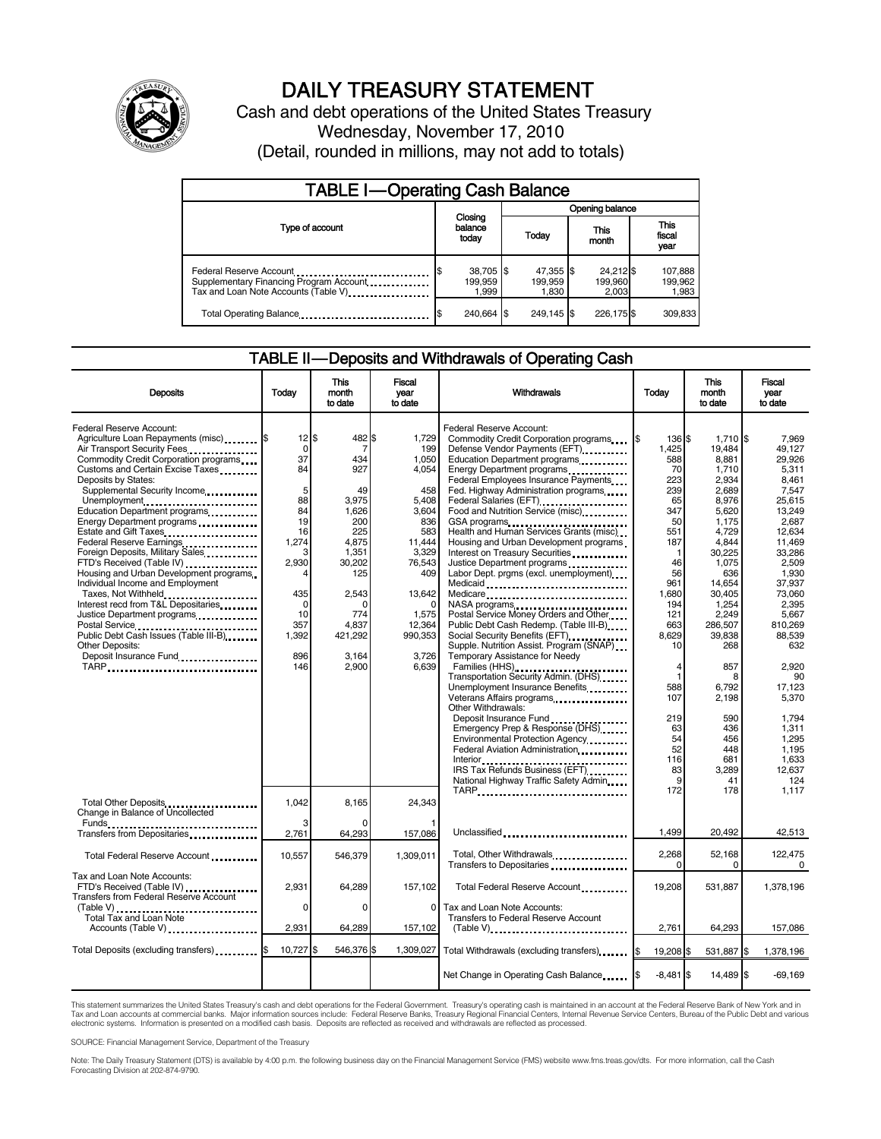

# DAILY TREASURY STATEMENT

Cash and debt operations of the United States Treasury Wednesday, November 17, 2010 (Detail, rounded in millions, may not add to totals)

| <b>TABLE I-Operating Cash Balance</b>                                                                      |                                     |                                   |                               |                             |  |  |  |
|------------------------------------------------------------------------------------------------------------|-------------------------------------|-----------------------------------|-------------------------------|-----------------------------|--|--|--|
|                                                                                                            | Opening balance                     |                                   |                               |                             |  |  |  |
| Type of account                                                                                            | balance<br>today                    | Closing<br>This<br>Today<br>month |                               | This<br>fiscal<br>year      |  |  |  |
| Federal Reserve Account<br>Supplementary Financing Program Account<br>Tax and Loan Note Accounts (Table V) | 38,705 \$<br>\$<br>199.959<br>1,999 | 47,355 \$<br>199.959<br>1,830     | 24,212 \$<br>199,960<br>2.003 | 107,888<br>199,962<br>1,983 |  |  |  |
| Total Operating Balance                                                                                    | 240.664 \$                          | 249.145 \$                        | 226.175 \$                    | 309,833                     |  |  |  |

#### TABLE II — Deposits and Withdrawals of Operating Cash

| <b>Deposits</b>                                                                                                                                                                                                                                                                                                                                                                                                                                                                                                                                                                                                                                              | Todav                                                                                                                                      | This<br>month<br>to date                                                                                                                                   | Fiscal<br>year<br>to date                                                                                                                                           | Withdrawals                                                                                                                                                                                                                                                                                                                                                                                                                                                                                                                                                                                                                                                                                                                                                                                                                              | Todav                                                                                                                                                                         | <b>This</b><br>month<br>to date                                                                                                                                                                                       | Fiscal<br>vear<br>to date                                                                                                                                                                                                    |
|--------------------------------------------------------------------------------------------------------------------------------------------------------------------------------------------------------------------------------------------------------------------------------------------------------------------------------------------------------------------------------------------------------------------------------------------------------------------------------------------------------------------------------------------------------------------------------------------------------------------------------------------------------------|--------------------------------------------------------------------------------------------------------------------------------------------|------------------------------------------------------------------------------------------------------------------------------------------------------------|---------------------------------------------------------------------------------------------------------------------------------------------------------------------|------------------------------------------------------------------------------------------------------------------------------------------------------------------------------------------------------------------------------------------------------------------------------------------------------------------------------------------------------------------------------------------------------------------------------------------------------------------------------------------------------------------------------------------------------------------------------------------------------------------------------------------------------------------------------------------------------------------------------------------------------------------------------------------------------------------------------------------|-------------------------------------------------------------------------------------------------------------------------------------------------------------------------------|-----------------------------------------------------------------------------------------------------------------------------------------------------------------------------------------------------------------------|------------------------------------------------------------------------------------------------------------------------------------------------------------------------------------------------------------------------------|
| Federal Reserve Account:<br>Agriculture Loan Repayments (misc) [\$<br>Air Transport Security Fees<br>Commodity Credit Corporation programs<br>Customs and Certain Excise Taxes<br>Deposits by States:<br>Supplemental Security Income<br>Unemployment<br>Education Department programs<br>Energy Department programs<br>Estate and Gift Taxes<br>Federal Reserve Earnings<br>Foreign Deposits, Military Sales<br>Housing and Urban Development programs<br>Individual Income and Employment<br>Taxes, Not Withheld<br>Interest recd from T&L Depositaries<br>Justice Department programs<br>Public Debt Cash Issues (Table III-B)<br>Other Deposits:<br>TARP | $12$ $\bar{s}$<br>0<br>37<br>84<br>5<br>88<br>84<br>19<br>16<br>1,274<br>Э<br>2,930<br>435<br>$\Omega$<br>10<br>357<br>1,392<br>896<br>146 | 482<br>7<br>434<br>927<br>49<br>3,975<br>1.626<br>200<br>225<br>4,875<br>1,351<br>30,202<br>125<br>2.543<br>O<br>774<br>4.837<br>421,292<br>3.164<br>2.900 | 1,729<br>199<br>1,050<br>4,054<br>458<br>5,408<br>3,604<br>836<br>583<br>11,444<br>3,329<br>76,543<br>409<br>13,642<br>1,575<br>12.364<br>990,353<br>3.726<br>6,639 | Federal Reserve Account:<br>Commodity Credit Corporation programs<br>Defense Vendor Payments (EFT)<br>Education Department programs<br>Energy Department programs<br>Federal Employees Insurance Payments<br>Fed. Highway Administration programs<br>Federal Salaries (EFT)<br>Food and Nutrition Service (misc)<br>GSA programs<br>Health and Human Services Grants (misc)<br>Housing and Urban Development programs<br>Interest on Treasury Securities<br>Justice Department programs<br>Labor Dept. prgms (excl. unemployment)<br>Medicaid<br>Medicare<br>NASA programs<br>Postal Service Money Orders and Other<br>Public Debt Cash Redemp. (Table III-B)<br>Supple. Nutrition Assist. Program (SNAP)<br>Temporary Assistance for Needy<br>Families (HHS)<br>Transportation Security Admin. (DHS)<br>Unemployment Insurance Benefits | I\$<br>136 \$<br>1.425<br>588<br>70<br>223<br>239<br>65<br>347<br>50<br>551<br>187<br>$\mathbf 1$<br>46<br>56<br>961<br>1.680<br>194<br>121<br>663<br>8,629<br>10<br>4<br>588 | $1.710$ S<br>19.484<br>8,881<br>1,710<br>2,934<br>2,689<br>8,976<br>5,620<br>1,175<br>4,729<br>4,844<br>30,225<br>1,075<br>636<br>14.654<br>30.405<br>1,254<br>2,249<br>286.507<br>39,838<br>268<br>857<br>8<br>6.792 | 7.969<br>49.127<br>29.926<br>5,311<br>8.461<br>7,547<br>25,615<br>13,249<br>2.687<br>12,634<br>11,469<br>33.286<br>2,509<br>1,930<br>37,937<br>73.060<br>2.395<br>5,667<br>810.269<br>88.539<br>632<br>2.920<br>90<br>17.123 |
| Total Other Deposits                                                                                                                                                                                                                                                                                                                                                                                                                                                                                                                                                                                                                                         | 1,042                                                                                                                                      | 8,165                                                                                                                                                      | 24,343                                                                                                                                                              | Veterans Affairs programs<br><br>Other Withdrawals:<br>Deposit Insurance Fund<br>Emergency Prep & Response (DHS)<br>Environmental Protection Agency<br>Federal Aviation Administration<br>IRS Tax Refunds Business (EFT)<br>National Highway Traffic Safety Admin<br>TARP                                                                                                                                                                                                                                                                                                                                                                                                                                                                                                                                                                | 107<br>219<br>63<br>54<br>52<br>116<br>83<br>9<br>172                                                                                                                         | 2.198<br>590<br>436<br>456<br>448<br>681<br>3.289<br>41<br>178                                                                                                                                                        | 5.370<br>1.794<br>1.311<br>1.295<br>1.195<br>1.633<br>12.637<br>124<br>1,117                                                                                                                                                 |
| Change in Balance of Uncollected<br>Funds<br>Transfers from Depositaries                                                                                                                                                                                                                                                                                                                                                                                                                                                                                                                                                                                     | 3<br>2,761                                                                                                                                 | 64,293                                                                                                                                                     | 157,086                                                                                                                                                             | Unclassified                                                                                                                                                                                                                                                                                                                                                                                                                                                                                                                                                                                                                                                                                                                                                                                                                             | 1.499                                                                                                                                                                         | 20,492                                                                                                                                                                                                                | 42,513                                                                                                                                                                                                                       |
| Total Federal Reserve Account                                                                                                                                                                                                                                                                                                                                                                                                                                                                                                                                                                                                                                | 10,557                                                                                                                                     | 546,379                                                                                                                                                    | 1.309.011                                                                                                                                                           | Total, Other Withdrawals<br>Transfers to Depositaries                                                                                                                                                                                                                                                                                                                                                                                                                                                                                                                                                                                                                                                                                                                                                                                    | 2,268<br>$\Omega$                                                                                                                                                             | 52,168<br>0                                                                                                                                                                                                           | 122,475<br>$\Omega$                                                                                                                                                                                                          |
| Tax and Loan Note Accounts:<br>FTD's Received (Table IV)<br>Transfers from Federal Reserve Account                                                                                                                                                                                                                                                                                                                                                                                                                                                                                                                                                           | 2.931<br>0                                                                                                                                 | 64,289<br>$\Omega$                                                                                                                                         | 157.102<br>$\Omega$                                                                                                                                                 | Total Federal Reserve Account<br>Tax and Loan Note Accounts:                                                                                                                                                                                                                                                                                                                                                                                                                                                                                                                                                                                                                                                                                                                                                                             | 19.208                                                                                                                                                                        | 531.887                                                                                                                                                                                                               | 1.378.196                                                                                                                                                                                                                    |
| <b>Total Tax and Loan Note</b><br>Accounts (Table V)                                                                                                                                                                                                                                                                                                                                                                                                                                                                                                                                                                                                         | 2.931                                                                                                                                      | 64.289                                                                                                                                                     | 157,102                                                                                                                                                             | <b>Transfers to Federal Reserve Account</b><br>$(Table V)$                                                                                                                                                                                                                                                                                                                                                                                                                                                                                                                                                                                                                                                                                                                                                                               | 2.761                                                                                                                                                                         | 64.293                                                                                                                                                                                                                | 157.086                                                                                                                                                                                                                      |
| Total Deposits (excluding transfers)                                                                                                                                                                                                                                                                                                                                                                                                                                                                                                                                                                                                                         | 10,727                                                                                                                                     | 546,376 \$<br>\$.                                                                                                                                          | 1,309,027                                                                                                                                                           | Total Withdrawals (excluding transfers)                                                                                                                                                                                                                                                                                                                                                                                                                                                                                                                                                                                                                                                                                                                                                                                                  | Ι\$<br>19,208 \$                                                                                                                                                              | 531,887 \$                                                                                                                                                                                                            | 1,378,196                                                                                                                                                                                                                    |
|                                                                                                                                                                                                                                                                                                                                                                                                                                                                                                                                                                                                                                                              |                                                                                                                                            |                                                                                                                                                            |                                                                                                                                                                     | Net Change in Operating Cash Balance                                                                                                                                                                                                                                                                                                                                                                                                                                                                                                                                                                                                                                                                                                                                                                                                     | $-8,481$ \$                                                                                                                                                                   | 14,489 \$                                                                                                                                                                                                             | $-69,169$                                                                                                                                                                                                                    |

This statement summarizes the United States Treasury's cash and debt operations for the Federal Government. Treasury's operating cash is maintained in an account at the Federal Reserve Bank of New York and in<br>Tax and Loan electronic systems. Information is presented on a modified cash basis. Deposits are reflected as received and withdrawals are reflected as processed.

SOURCE: Financial Management Service, Department of the Treasury

Note: The Daily Treasury Statement (DTS) is available by 4:00 p.m. the following business day on the Financial Management Service (FMS) website www.fms.treas.gov/dts. For more information, call the Cash Forecasting Division at 202-874-9790.